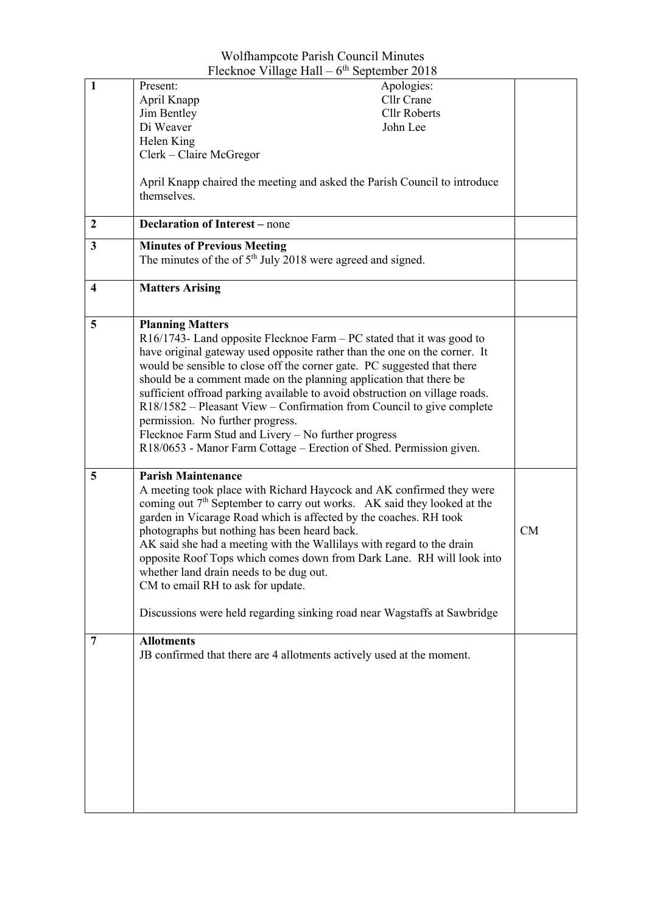| Flecknoe Village Hall – $6th$ September 2018 |                                                                             |           |  |  |
|----------------------------------------------|-----------------------------------------------------------------------------|-----------|--|--|
| $\mathbf{1}$                                 | Apologies:<br>Present:                                                      |           |  |  |
|                                              | Cllr Crane<br>April Knapp                                                   |           |  |  |
|                                              | <b>Cllr Roberts</b><br>Jim Bentley                                          |           |  |  |
|                                              | Di Weaver<br>John Lee                                                       |           |  |  |
|                                              | Helen King                                                                  |           |  |  |
|                                              | Clerk - Claire McGregor                                                     |           |  |  |
|                                              |                                                                             |           |  |  |
|                                              | April Knapp chaired the meeting and asked the Parish Council to introduce   |           |  |  |
|                                              | themselves.                                                                 |           |  |  |
|                                              |                                                                             |           |  |  |
| 2                                            | <b>Declaration of Interest</b> – none                                       |           |  |  |
| 3                                            | <b>Minutes of Previous Meeting</b>                                          |           |  |  |
|                                              | The minutes of the of $5th$ July 2018 were agreed and signed.               |           |  |  |
|                                              |                                                                             |           |  |  |
| 4                                            | <b>Matters Arising</b>                                                      |           |  |  |
|                                              |                                                                             |           |  |  |
| 5                                            | <b>Planning Matters</b>                                                     |           |  |  |
|                                              | $R16/1743$ - Land opposite Flecknoe Farm – PC stated that it was good to    |           |  |  |
|                                              | have original gateway used opposite rather than the one on the corner. It   |           |  |  |
|                                              | would be sensible to close off the corner gate. PC suggested that there     |           |  |  |
|                                              | should be a comment made on the planning application that there be          |           |  |  |
|                                              | sufficient offroad parking available to avoid obstruction on village roads. |           |  |  |
|                                              | R18/1582 – Pleasant View – Confirmation from Council to give complete       |           |  |  |
|                                              | permission. No further progress.                                            |           |  |  |
|                                              | Flecknoe Farm Stud and Livery - No further progress                         |           |  |  |
|                                              | R18/0653 - Manor Farm Cottage – Erection of Shed. Permission given.         |           |  |  |
|                                              |                                                                             |           |  |  |
| 5                                            | <b>Parish Maintenance</b>                                                   |           |  |  |
|                                              | A meeting took place with Richard Haycock and AK confirmed they were        |           |  |  |
|                                              | coming out $7th$ September to carry out works. AK said they looked at the   |           |  |  |
|                                              | garden in Vicarage Road which is affected by the coaches. RH took           |           |  |  |
|                                              |                                                                             |           |  |  |
|                                              |                                                                             |           |  |  |
|                                              | photographs but nothing has been heard back.                                | <b>CM</b> |  |  |
|                                              | AK said she had a meeting with the Wallilays with regard to the drain       |           |  |  |
|                                              | opposite Roof Tops which comes down from Dark Lane. RH will look into       |           |  |  |
|                                              | whether land drain needs to be dug out.                                     |           |  |  |
|                                              | CM to email RH to ask for update.                                           |           |  |  |
|                                              |                                                                             |           |  |  |
|                                              | Discussions were held regarding sinking road near Wagstaffs at Sawbridge    |           |  |  |
| $\overline{7}$                               | <b>Allotments</b>                                                           |           |  |  |
|                                              | JB confirmed that there are 4 allotments actively used at the moment.       |           |  |  |
|                                              |                                                                             |           |  |  |
|                                              |                                                                             |           |  |  |
|                                              |                                                                             |           |  |  |
|                                              |                                                                             |           |  |  |
|                                              |                                                                             |           |  |  |
|                                              |                                                                             |           |  |  |
|                                              |                                                                             |           |  |  |
|                                              |                                                                             |           |  |  |
|                                              |                                                                             |           |  |  |
|                                              |                                                                             |           |  |  |

Wolfhampcote Parish Council Minutes